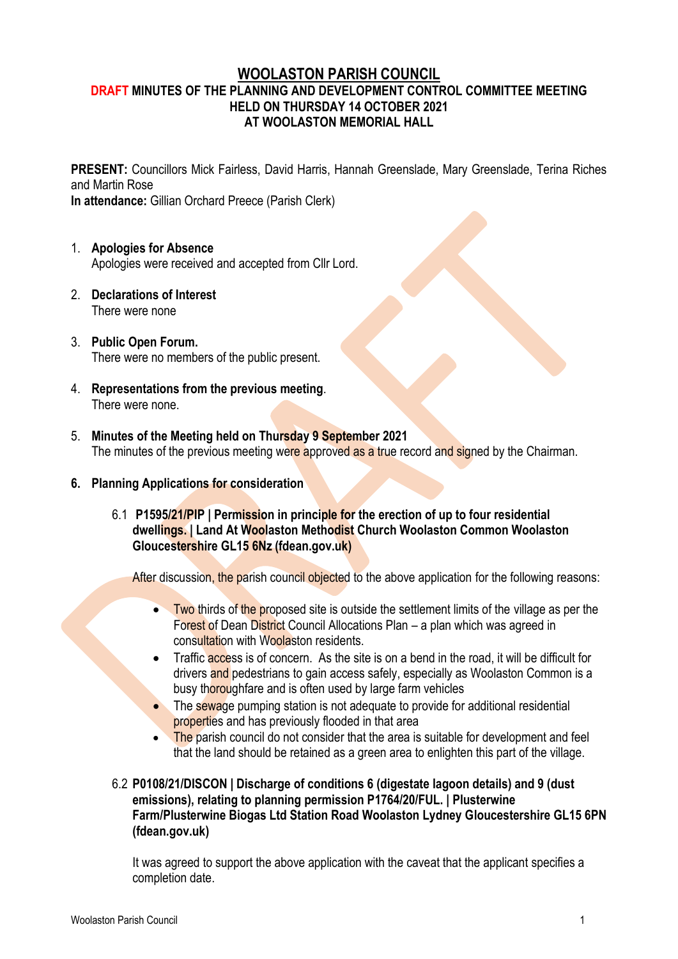## **WOOLASTON PARISH COUNCIL DRAFT MINUTES OF THE PLANNING AND DEVELOPMENT CONTROL COMMITTEE MEETING HELD ON THURSDAY 14 OCTOBER 2021 AT WOOLASTON MEMORIAL HALL**

**PRESENT:** Councillors Mick Fairless, David Harris, Hannah Greenslade, Mary Greenslade, Terina Riches and Martin Rose

**In attendance:** Gillian Orchard Preece (Parish Clerk)

- 1. **Apologies for Absence** Apologies were received and accepted from Cllr Lord.
- 2. **Declarations of Interest** There were none
- 3. **Public Open Forum.** There were no members of the public present.
- 4. **Representations from the previous meeting**. There were none.
- 5. **Minutes of the Meeting held on Thursday 9 September 2021** The minutes of the previous meeting were approved as a true record and signed by the Chairman.
- **6. Planning Applications for consideration**
	- 6.1 **[P1595/21/PIP | Permission in principle for the erection of up to four residential](https://publicaccess.fdean.gov.uk/online-applications/applicationDetails.do?activeTab=summary&keyVal=QZFD6ZHI0FD00)  [dwellings. | Land At Woolaston Methodist Church Woolaston Common Woolaston](https://publicaccess.fdean.gov.uk/online-applications/applicationDetails.do?activeTab=summary&keyVal=QZFD6ZHI0FD00)  [Gloucestershire GL15 6Nz \(fdean.gov.uk\)](https://publicaccess.fdean.gov.uk/online-applications/applicationDetails.do?activeTab=summary&keyVal=QZFD6ZHI0FD00)**

After discussion, the parish council objected to the above application for the following reasons:

- Two thirds of the proposed site is outside the settlement limits of the village as per the Forest of Dean District Council Allocations Plan – a plan which was agreed in consultation with Woolaston residents.
- Traffic access is of concern. As the site is on a bend in the road, it will be difficult for drivers and pedestrians to gain access safely, especially as Woolaston Common is a busy thoroughfare and is often used by large farm vehicles
- The sewage pumping station is not adequate to provide for additional residential properties and has previously flooded in that area
- The parish council do not consider that the area is suitable for development and feel that the land should be retained as a green area to enlighten this part of the village.
- 6.2 **[P0108/21/DISCON | Discharge of conditions 6 \(digestate lagoon details\) and 9 \(dust](https://publicaccess.fdean.gov.uk/online-applications/applicationDetails.do?activeTab=summary&keyVal=QZEXHUHILUW00)  [emissions\), relating to planning permission P1764/20/FUL. | Plusterwine](https://publicaccess.fdean.gov.uk/online-applications/applicationDetails.do?activeTab=summary&keyVal=QZEXHUHILUW00)  [Farm/Plusterwine Biogas Ltd Station Road Woolaston Lydney Gloucestershire GL15 6PN](https://publicaccess.fdean.gov.uk/online-applications/applicationDetails.do?activeTab=summary&keyVal=QZEXHUHILUW00)  [\(fdean.gov.uk\)](https://publicaccess.fdean.gov.uk/online-applications/applicationDetails.do?activeTab=summary&keyVal=QZEXHUHILUW00)**

It was agreed to support the above application with the caveat that the applicant specifies a completion date.